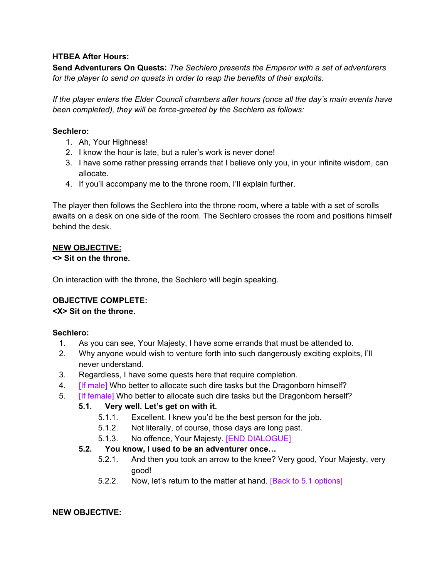#### **HTBEA After Hours:**

**Send Adventurers On Quests:** *The Sechlero presents the Emperor with a set of adventurers for the player to send on quests in order to reap the benefits of their exploits.*

*If the player enters the Elder Council chambers after hours (once all the day's main events have been completed), they will be force-greeted by the Sechlero as follows:*

#### **Sechlero:**

- 1. Ah, Your Highness!
- 2. I know the hour is late, but a ruler's work is never done!
- 3. I have some rather pressing errands that I believe only you, in your infinite wisdom, can allocate.
- 4. If you'll accompany me to the throne room, I'll explain further.

The player then follows the Sechlero into the throne room, where a table with a set of scrolls awaits on a desk on one side of the room. The Sechlero crosses the room and positions himself behind the desk.

### **NEW OBJECTIVE:**

#### **<> Sit on the throne.**

On interaction with the throne, the Sechlero will begin speaking.

### **OBJECTIVE COMPLETE:**

### **<X> Sit on the throne.**

### **Sechlero:**

- 1. As you can see, Your Majesty, I have some errands that must be attended to.
- 2. Why anyone would wish to venture forth into such dangerously exciting exploits, I'll never understand.
- 3. Regardless, I have some quests here that require completion.
- 4. [If male] Who better to allocate such dire tasks but the Dragonborn himself?
- 5. [If female] Who better to allocate such dire tasks but the Dragonborn herself?

# **5.1. Very well. Let's get on with it.**

- 5.1.1. Excellent. I knew you'd be the best person for the job.
- 5.1.2. Not literally, of course, those days are long past.
- 5.1.3. No offence, Your Majesty. [END DIALOGUE]

### **5.2. You know, I used to be an adventurer once…**

- 5.2.1. And then you took an arrow to the knee? Very good, Your Majesty, very good!
- 5.2.2. Now, let's return to the matter at hand. [Back to 5.1 options]

### **NEW OBJECTIVE:**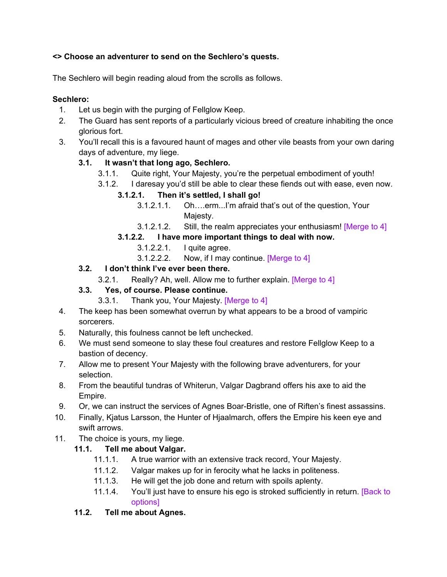## **<> Choose an adventurer to send on the Sechlero's quests.**

The Sechlero will begin reading aloud from the scrolls as follows.

### **Sechlero:**

- 1. Let us begin with the purging of Fellglow Keep.
- 2. The Guard has sent reports of a particularly vicious breed of creature inhabiting the once glorious fort.
- 3. You'll recall this is a favoured haunt of mages and other vile beasts from your own daring days of adventure, my liege.

# **3.1. It wasn't that long ago, Sechlero.**

- 3.1.1. Quite right, Your Majesty, you're the perpetual embodiment of youth!
- 3.1.2. I daresay you'd still be able to clear these fiends out with ease, even now.

## **3.1.2.1. Then it's settled, I shall go!**

- 3.1.2.1.1. Oh….erm...I'm afraid that's out of the question, Your Majesty.
- 3.1.2.1.2. Still, the realm appreciates your enthusiasm! [Merge to 4]
- **3.1.2.2. I have more important things to deal with now.**
	- 3.1.2.2.1. I quite agree.
	- 3.1.2.2.2. Now, if I may continue. [Merge to 4]

## **3.2. I don't think I've ever been there.**

3.2.1. Really? Ah, well. Allow me to further explain. [Merge to 4]

# **3.3. Yes, of course. Please continue.**

- 3.3.1. Thank you, Your Majesty. [Merge to 4]
- 4. The keep has been somewhat overrun by what appears to be a brood of vampiric sorcerers.
- 5. Naturally, this foulness cannot be left unchecked.
- 6. We must send someone to slay these foul creatures and restore Fellglow Keep to a bastion of decency.
- 7. Allow me to present Your Majesty with the following brave adventurers, for your selection.
- 8. From the beautiful tundras of Whiterun, Valgar Dagbrand offers his axe to aid the Empire.
- 9. Or, we can instruct the services of Agnes Boar-Bristle, one of Riften's finest assassins.
- 10. Finally, Kjatus Larsson, the Hunter of Hjaalmarch, offers the Empire his keen eye and swift arrows.
- 11. The choice is yours, my liege.

# **11.1. Tell me about Valgar.**

- 11.1.1. A true warrior with an extensive track record, Your Majesty.
- 11.1.2. Valgar makes up for in ferocity what he lacks in politeness.
- 11.1.3. He will get the job done and return with spoils aplenty.
- 11.1.4. You'll just have to ensure his ego is stroked sufficiently in return. [Back to options]

# **11.2. Tell me about Agnes.**